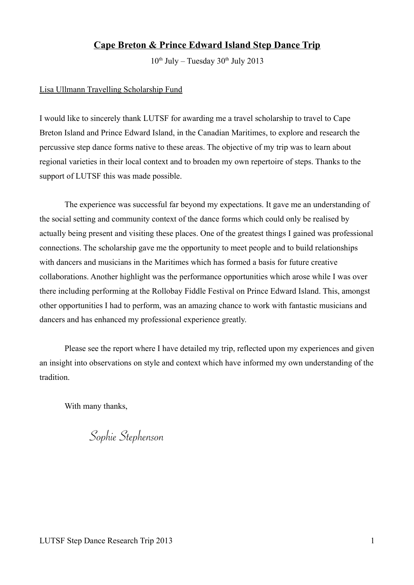# **Cape Breton & Prince Edward Island Step Dance Trip**

 $10^{th}$  July – Tuesday  $30^{th}$  July 2013

### Lisa Ullmann Travelling Scholarship Fund

I would like to sincerely thank LUTSF for awarding me a travel scholarship to travel to Cape Breton Island and Prince Edward Island, in the Canadian Maritimes, to explore and research the percussive step dance forms native to these areas. The objective of my trip was to learn about regional varieties in their local context and to broaden my own repertoire of steps. Thanks to the support of LUTSF this was made possible.

The experience was successful far beyond my expectations. It gave me an understanding of the social setting and community context of the dance forms which could only be realised by actually being present and visiting these places. One of the greatest things I gained was professional connections. The scholarship gave me the opportunity to meet people and to build relationships with dancers and musicians in the Maritimes which has formed a basis for future creative collaborations. Another highlight was the performance opportunities which arose while I was over there including performing at the Rollobay Fiddle Festival on Prince Edward Island. This, amongst other opportunities I had to perform, was an amazing chance to work with fantastic musicians and dancers and has enhanced my professional experience greatly.

Please see the report where I have detailed my trip, reflected upon my experiences and given an insight into observations on style and context which have informed my own understanding of the tradition.

With many thanks,

Sophie Stephenson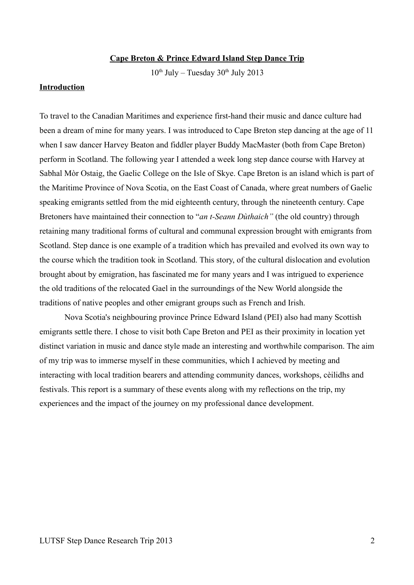#### **Cape Breton & Prince Edward Island Step Dance Trip**

 $10^{th}$  July – Tuesday  $30^{th}$  July 2013

### **Introduction**

To travel to the Canadian Maritimes and experience first-hand their music and dance culture had been a dream of mine for many years. I was introduced to Cape Breton step dancing at the age of 11 when I saw dancer Harvey Beaton and fiddler player Buddy MacMaster (both from Cape Breton) perform in Scotland. The following year I attended a week long step dance course with Harvey at Sabhal Mòr Ostaig, the Gaelic College on the Isle of Skye. Cape Breton is an island which is part of the Maritime Province of Nova Scotia, on the East Coast of Canada, where great numbers of Gaelic speaking emigrants settled from the mid eighteenth century, through the nineteenth century. Cape Bretoners have maintained their connection to "*an t-Seann Duthaich"* (the old country) through retaining many traditional forms of cultural and communal expression brought with emigrants from Scotland. Step dance is one example of a tradition which has prevailed and evolved its own way to the course which the tradition took in Scotland. This story, of the cultural dislocation and evolution brought about by emigration, has fascinated me for many years and I was intrigued to experience the old traditions of the relocated Gael in the surroundings of the New World alongside the traditions of native peoples and other emigrant groups such as French and Irish.

Nova Scotia's neighbouring province Prince Edward Island (PEI) also had many Scottish emigrants settle there. I chose to visit both Cape Breton and PEI as their proximity in location yet distinct variation in music and dance style made an interesting and worthwhile comparison. The aim of my trip was to immerse myself in these communities, which I achieved by meeting and interacting with local tradition bearers and attending community dances, workshops, cèilidhs and festivals. This report is a summary of these events along with my reflections on the trip, my experiences and the impact of the journey on my professional dance development.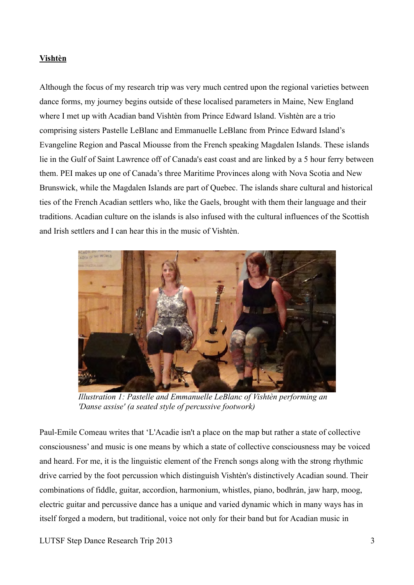## **Vishtèn**

Although the focus of my research trip was very much centred upon the regional varieties between dance forms, my journey begins outside of these localised parameters in Maine, New England where I met up with Acadian band Vishtèn from Prince Edward Island. Vishtèn are a trio comprising sisters Pastelle LeBlanc and Emmanuelle LeBlanc from Prince Edward Island's Evangeline Region and Pascal Miousse from the French speaking Magdalen Islands. These islands lie in the Gulf of Saint Lawrence off of Canada's east coast and are linked by a 5 hour ferry between them. PEI makes up one of Canada's three Maritime Provinces along with Nova Scotia and New Brunswick, while the Magdalen Islands are part of Quebec. The islands share cultural and historical ties of the French Acadian settlers who, like the Gaels, brought with them their language and their traditions. Acadian culture on the islands is also infused with the cultural influences of the Scottish and Irish settlers and I can hear this in the music of Vishtèn.



*Illustration 1: Pastelle and Emmanuelle LeBlanc of Vishtèn performing an 'Danse assise' (a seated style of percussive footwork)*

Paul-Emile Comeau writes that 'L'Acadie isn't a place on the map but rather a state of collective consciousness' and music is one means by which a state of collective consciousness may be voiced and heard. For me, it is the linguistic element of the French songs along with the strong rhythmic drive carried by the foot percussion which distinguish Vishtèn's distinctively Acadian sound. Their combinations of fiddle, guitar, accordion, harmonium, whistles, piano, bodhrán, jaw harp, moog, electric guitar and percussive dance has a unique and varied dynamic which in many ways has in itself forged a modern, but traditional, voice not only for their band but for Acadian music in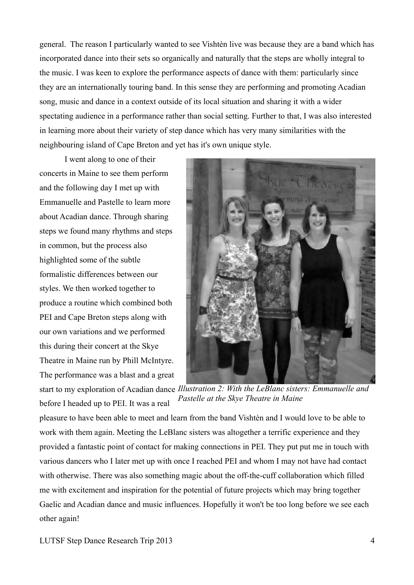general. The reason I particularly wanted to see Vishtèn live was because they are a band which has incorporated dance into their sets so organically and naturally that the steps are wholly integral to the music. I was keen to explore the performance aspects of dance with them: particularly since they are an internationally touring band. In this sense they are performing and promoting Acadian song, music and dance in a context outside of its local situation and sharing it with a wider spectating audience in a performance rather than social setting. Further to that, I was also interested in learning more about their variety of step dance which has very many similarities with the neighbouring island of Cape Breton and yet has it's own unique style.

I went along to one of their concerts in Maine to see them perform and the following day I met up with Emmanuelle and Pastelle to learn more about Acadian dance. Through sharing steps we found many rhythms and steps in common, but the process also highlighted some of the subtle formalistic differences between our styles. We then worked together to produce a routine which combined both PEI and Cape Breton steps along with our own variations and we performed this during their concert at the Skye Theatre in Maine run by Phill McIntyre. The performance was a blast and a great



start to my exploration of Acadian dance *Illustration 2: With the LeBlanc sisters: Emmanuelle and*  before I headed up to PEI. It was a real *Pastelle at the Skye Theatre in Maine* 

pleasure to have been able to meet and learn from the band Vishtèn and I would love to be able to work with them again. Meeting the LeBlanc sisters was altogether a terrific experience and they provided a fantastic point of contact for making connections in PEI. They put put me in touch with various dancers who I later met up with once I reached PEI and whom I may not have had contact with otherwise. There was also something magic about the off-the-cuff collaboration which filled me with excitement and inspiration for the potential of future projects which may bring together Gaelic and Acadian dance and music influences. Hopefully it won't be too long before we see each other again!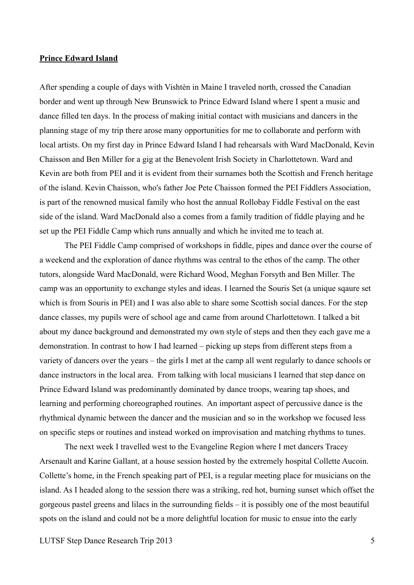#### **Prince Edward Island**

After spending a couple of days with Vishtèn in Maine I traveled north, crossed the Canadian border and went up through New Brunswick to Prince Edward Island where I spent a music and dance filled ten days. In the process of making initial contact with musicians and dancers in the planning stage of my trip there arose many opportunities for me to collaborate and perform with local artists. On my first day in Prince Edward Island I had rehearsals with Ward MacDonald, Kevin Chaisson and Ben Miller for a gig at the Benevolent Irish Society in Charlottetown. Ward and Kevin are both from PEI and it is evident from their surnames both the Scottish and French heritage of the island. Kevin Chaisson, who's father Joe Pete Chaisson formed the PEI Fiddlers Association, is part of the renowned musical family who host the annual Rollobay Fiddle Festival on the east side of the island. Ward MacDonald also a comes from a family tradition of fiddle playing and he set up the PEI Fiddle Camp which runs annually and which he invited me to teach at.

The PEI Fiddle Camp comprised of workshops in fiddle, pipes and dance over the course of a weekend and the exploration of dance rhythms was central to the ethos of the camp. The other tutors, alongside Ward MacDonald, were Richard Wood, Meghan Forsyth and Ben Miller. The camp was an opportunity to exchange styles and ideas. I learned the Souris Set (a unique sqaure set which is from Souris in PEI) and I was also able to share some Scottish social dances. For the step dance classes, my pupils were of school age and came from around Charlottetown. I talked a bit about my dance background and demonstrated my own style of steps and then they each gave me a demonstration. In contrast to how I had learned – picking up steps from different steps from a variety of dancers over the years – the girls I met at the camp all went regularly to dance schools or dance instructors in the local area. From talking with local musicians I learned that step dance on Prince Edward Island was predominantly dominated by dance troops, wearing tap shoes, and learning and performing choreographed routines. An important aspect of percussive dance is the rhythmical dynamic between the dancer and the musician and so in the workshop we focused less on specific steps or routines and instead worked on improvisation and matching rhythms to tunes.

The next week I travelled west to the Evangeline Region where I met dancers Tracey Arsenault and Karine Gallant, at a house session hosted by the extremely hospital Collette Aucoin. Collette's home, in the French speaking part of PEI, is a regular meeting place for musicians on the island. As I headed along to the session there was a striking, red hot, burning sunset which offset the gorgeous pastel greens and lilacs in the surrounding fields – it is possibly one of the most beautiful spots on the island and could not be a more delightful location for music to ensue into the early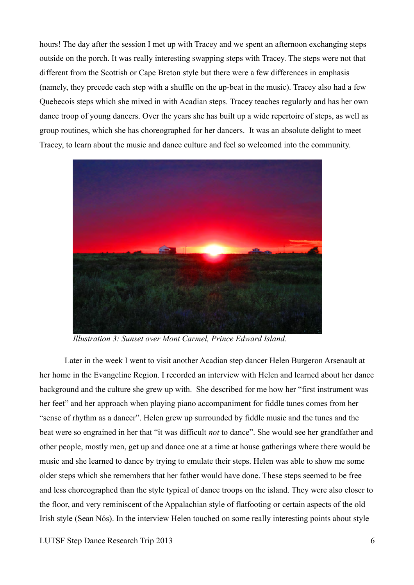hours! The day after the session I met up with Tracey and we spent an afternoon exchanging steps outside on the porch. It was really interesting swapping steps with Tracey. The steps were not that different from the Scottish or Cape Breton style but there were a few differences in emphasis (namely, they precede each step with a shuffle on the up-beat in the music). Tracey also had a few Quebecois steps which she mixed in with Acadian steps. Tracey teaches regularly and has her own dance troop of young dancers. Over the years she has built up a wide repertoire of steps, as well as group routines, which she has choreographed for her dancers. It was an absolute delight to meet Tracey, to learn about the music and dance culture and feel so welcomed into the community.



*Illustration 3: Sunset over Mont Carmel, Prince Edward Island.*

Later in the week I went to visit another Acadian step dancer Helen Burgeron Arsenault at her home in the Evangeline Region. I recorded an interview with Helen and learned about her dance background and the culture she grew up with. She described for me how her "first instrument was her feet" and her approach when playing piano accompaniment for fiddle tunes comes from her "sense of rhythm as a dancer". Helen grew up surrounded by fiddle music and the tunes and the beat were so engrained in her that "it was difficult *not* to dance". She would see her grandfather and other people, mostly men, get up and dance one at a time at house gatherings where there would be music and she learned to dance by trying to emulate their steps. Helen was able to show me some older steps which she remembers that her father would have done. These steps seemed to be free and less choreographed than the style typical of dance troops on the island. They were also closer to the floor, and very reminiscent of the Appalachian style of flatfooting or certain aspects of the old Irish style (Sean Nós). In the interview Helen touched on some really interesting points about style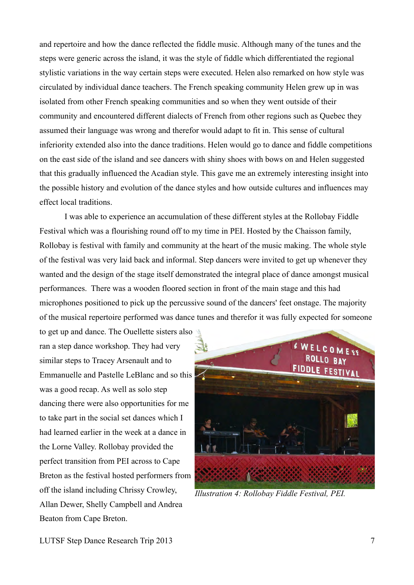and repertoire and how the dance reflected the fiddle music. Although many of the tunes and the steps were generic across the island, it was the style of fiddle which differentiated the regional stylistic variations in the way certain steps were executed. Helen also remarked on how style was circulated by individual dance teachers. The French speaking community Helen grew up in was isolated from other French speaking communities and so when they went outside of their community and encountered different dialects of French from other regions such as Quebec they assumed their language was wrong and therefor would adapt to fit in. This sense of cultural inferiority extended also into the dance traditions. Helen would go to dance and fiddle competitions on the east side of the island and see dancers with shiny shoes with bows on and Helen suggested that this gradually influenced the Acadian style. This gave me an extremely interesting insight into the possible history and evolution of the dance styles and how outside cultures and influences may effect local traditions.

I was able to experience an accumulation of these different styles at the Rollobay Fiddle Festival which was a flourishing round off to my time in PEI. Hosted by the Chaisson family, Rollobay is festival with family and community at the heart of the music making. The whole style of the festival was very laid back and informal. Step dancers were invited to get up whenever they wanted and the design of the stage itself demonstrated the integral place of dance amongst musical performances. There was a wooden floored section in front of the main stage and this had microphones positioned to pick up the percussive sound of the dancers' feet onstage. The majority of the musical repertoire performed was dance tunes and therefor it was fully expected for someone

to get up and dance. The Ouellette sisters also ran a step dance workshop. They had very similar steps to Tracey Arsenault and to Emmanuelle and Pastelle LeBlanc and so this was a good recap. As well as solo step dancing there were also opportunities for me to take part in the social set dances which I had learned earlier in the week at a dance in the Lorne Valley. Rollobay provided the perfect transition from PEI across to Cape Breton as the festival hosted performers from off the island including Chrissy Crowley, Allan Dewer, Shelly Campbell and Andrea Beaton from Cape Breton.



*Illustration 4: Rollobay Fiddle Festival, PEI.*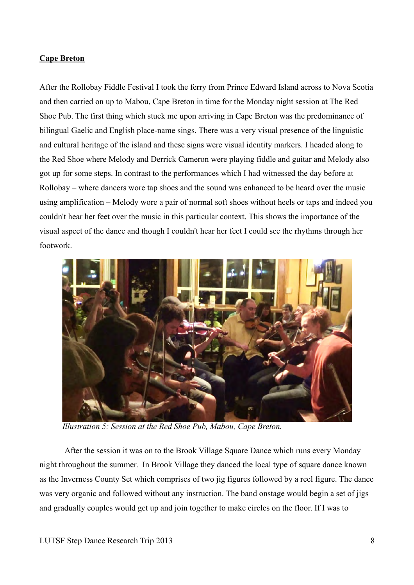# **Cape Breton**

After the Rollobay Fiddle Festival I took the ferry from Prince Edward Island across to Nova Scotia and then carried on up to Mabou, Cape Breton in time for the Monday night session at The Red Shoe Pub. The first thing which stuck me upon arriving in Cape Breton was the predominance of bilingual Gaelic and English place-name sings. There was a very visual presence of the linguistic and cultural heritage of the island and these signs were visual identity markers. I headed along to the Red Shoe where Melody and Derrick Cameron were playing fiddle and guitar and Melody also got up for some steps. In contrast to the performances which I had witnessed the day before at Rollobay – where dancers wore tap shoes and the sound was enhanced to be heard over the music using amplification – Melody wore a pair of normal soft shoes without heels or taps and indeed you couldn't hear her feet over the music in this particular context. This shows the importance of the visual aspect of the dance and though I couldn't hear her feet I could see the rhythms through her footwork.



*Illustration 5: Session at the Red Shoe Pub, Mabou, Cape Breton.*

After the session it was on to the Brook Village Square Dance which runs every Monday night throughout the summer. In Brook Village they danced the local type of square dance known as the Inverness County Set which comprises of two jig figures followed by a reel figure. The dance was very organic and followed without any instruction. The band onstage would begin a set of jigs and gradually couples would get up and join together to make circles on the floor. If I was to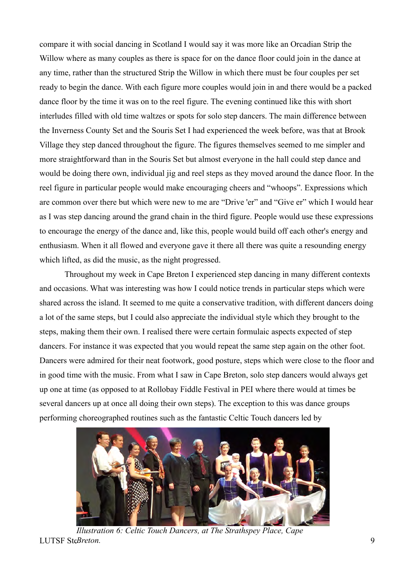compare it with social dancing in Scotland I would say it was more like an Orcadian Strip the Willow where as many couples as there is space for on the dance floor could join in the dance at any time, rather than the structured Strip the Willow in which there must be four couples per set ready to begin the dance. With each figure more couples would join in and there would be a packed dance floor by the time it was on to the reel figure. The evening continued like this with short interludes filled with old time waltzes or spots for solo step dancers. The main difference between the Inverness County Set and the Souris Set I had experienced the week before, was that at Brook Village they step danced throughout the figure. The figures themselves seemed to me simpler and more straightforward than in the Souris Set but almost everyone in the hall could step dance and would be doing there own, individual jig and reel steps as they moved around the dance floor. In the reel figure in particular people would make encouraging cheers and "whoops". Expressions which are common over there but which were new to me are "Drive 'er" and "Give er" which I would hear as I was step dancing around the grand chain in the third figure. People would use these expressions to encourage the energy of the dance and, like this, people would build off each other's energy and enthusiasm. When it all flowed and everyone gave it there all there was quite a resounding energy which lifted, as did the music, as the night progressed.

Throughout my week in Cape Breton I experienced step dancing in many different contexts and occasions. What was interesting was how I could notice trends in particular steps which were shared across the island. It seemed to me quite a conservative tradition, with different dancers doing a lot of the same steps, but I could also appreciate the individual style which they brought to the steps, making them their own. I realised there were certain formulaic aspects expected of step dancers. For instance it was expected that you would repeat the same step again on the other foot. Dancers were admired for their neat footwork, good posture, steps which were close to the floor and in good time with the music. From what I saw in Cape Breton, solo step dancers would always get up one at time (as opposed to at Rollobay Fiddle Festival in PEI where there would at times be several dancers up at once all doing their own steps). The exception to this was dance groups performing choreographed routines such as the fantastic Celtic Touch dancers led by



**LUTSF SteBreton.** 9 *Illustration 6: Celtic Touch Dancers, at The Strathspey Place, Cape*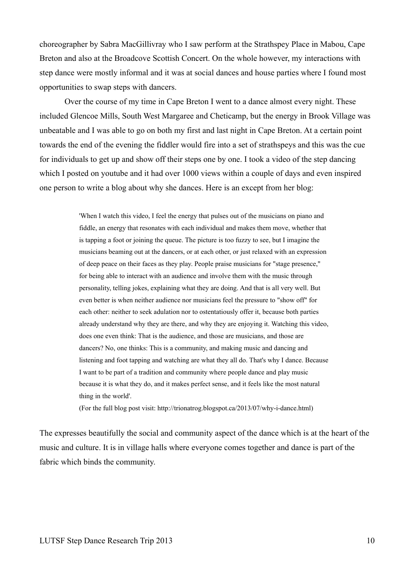choreographer by Sabra MacGillivray who I saw perform at the Strathspey Place in Mabou, Cape Breton and also at the Broadcove Scottish Concert. On the whole however, my interactions with step dance were mostly informal and it was at social dances and house parties where I found most opportunities to swap steps with dancers.

Over the course of my time in Cape Breton I went to a dance almost every night. These included Glencoe Mills, South West Margaree and Cheticamp, but the energy in Brook Village was unbeatable and I was able to go on both my first and last night in Cape Breton. At a certain point towards the end of the evening the fiddler would fire into a set of strathspeys and this was the cue for individuals to get up and show off their steps one by one. I took a video of the step dancing which I posted on youtube and it had over 1000 views within a couple of days and even inspired one person to write a blog about why she dances. Here is an except from her blog:

> 'When I watch this video, I feel the energy that pulses out of the musicians on piano and fiddle, an energy that resonates with each individual and makes them move, whether that is tapping a foot or joining the queue. The picture is too fuzzy to see, but I imagine the musicians beaming out at the dancers, or at each other, or just relaxed with an expression of deep peace on their faces as they play. People praise musicians for "stage presence," for being able to interact with an audience and involve them with the music through personality, telling jokes, explaining what they are doing. And that is all very well. But even better is when neither audience nor musicians feel the pressure to "show off" for each other: neither to seek adulation nor to ostentatiously offer it, because both parties already understand why they are there, and why they are enjoying it. Watching this video, does one even think: That is the audience, and those are musicians, and those are dancers? No, one thinks: This is a community, and making music and dancing and listening and foot tapping and watching are what they all do. That's why I dance. Because I want to be part of a tradition and community where people dance and play music because it is what they do, and it makes perfect sense, and it feels like the most natural thing in the world'.

(For the full blog post visit: http://trionatrog.blogspot.ca/2013/07/why-i-dance.html)

The expresses beautifully the social and community aspect of the dance which is at the heart of the music and culture. It is in village halls where everyone comes together and dance is part of the fabric which binds the community.